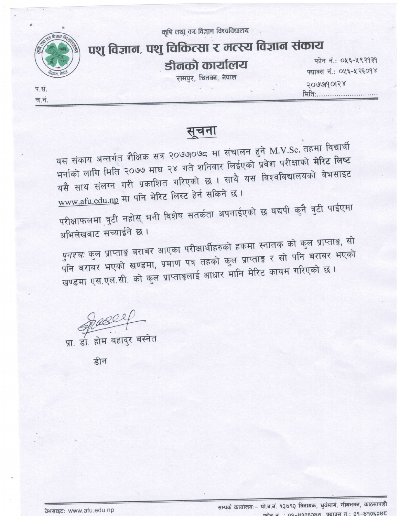कृषि तथा वन विज्ञान विश्वविद्यालय



प.सं.

च.नं.

## पशु विज्ञान, पशु चिकित्सा र मत्स्य विज्ञान संकाय

डीनको कार्यालय

रामपुर, चितवन, नेपाल

फोन नं.: ०५६-५९२१३१ फ्याक्स नं.: ०५६-५२६०१४ 2000990128 मिति:.............................

सूचना

यस संकाय अन्तर्गत शैक्षिक सत्र २०७७०७८ मा संचालन हुने M.V.Sc. तहमा विद्यार्थी भर्नाको लागि मिति २०७७ माघ २४ गते शनिवार लिईएको प्रवेश परीक्षाको <mark>मेरिट लिष्ट</mark> यसै साथ संलग्न गरी प्रकाशित गरिएको छ । साथै यस विश्वविद्यालयको वेभसाइट www.afu.edu.np मा पनि मेरिट लिस्ट हेर्न सकिने छ।

परीक्षाफलमा त्रुटी नहोस् भनी विशेष सतर्कता अपनाईएको छ यद्यपी कुनै त्रुटी पाईएमा अभिलेखबाट सच्याईने छ।

*पुनश्चः* कुल प्राप्ताङ्क बराबर आएका परीक्षार्थीहरुको हकमा स्नातक को कुल प्राप्ताङ्क, सो पनि बराबर भएको खण्डमा, प्रमाण पत्र तहको कुल प्राप्ताङ्क र सो पनि बराबर भएको खण्डमा एस.एल.सी. को कुल प्राप्ताङ्कलाई आधार मानि मेरिट कायम गरिएको छ।

<u>आ</u> डा. होम बहादुर बस्नेत

डीन

वेभसाइट: www.afu.edu.np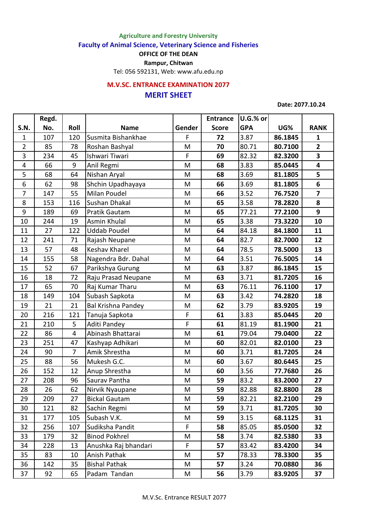## **Agriculture and Forestry University**

**Faculty of Animal Science, Veterinary Science and Fisheries**

**OFFICE OF THE DEAN**

**Rampur, Chitwan**

Tel: 056 592131, Web: www.afu.edu.np

## **MERIT SHEET M.V.SC. ENTRANCE EXAMINATION 2077**

**Date: 2077.10.24**

|                | Regd. |                |                           |        | <b>Entrance</b> | U.G.% or   |         |                         |
|----------------|-------|----------------|---------------------------|--------|-----------------|------------|---------|-------------------------|
| <b>S.N.</b>    | No.   | Roll           | <b>Name</b>               | Gender | <b>Score</b>    | <b>GPA</b> | UG%     | <b>RANK</b>             |
| $\mathbf{1}$   | 107   | 120            | Susmita Bishankhae        | F      | 72              | 3.87       | 86.1845 | $\mathbf{1}$            |
| $\overline{2}$ | 85    | 78             | Roshan Bashyal            | M      | 70              | 80.71      | 80.7100 | $\overline{2}$          |
| 3              | 234   | 45             | Ishwari Tiwari            | F      | 69              | 82.32      | 82.3200 | $\overline{\mathbf{3}}$ |
| 4              | 66    | 9              | Anil Regmi                | M      | 68              | 3.83       | 85.0445 | $\overline{\mathbf{4}}$ |
| 5              | 68    | 64             | Nishan Aryal              | M      | 68              | 3.69       | 81.1805 | 5                       |
| 6              | 62    | 98             | Shchin Upadhayaya         | M      | 66              | 3.69       | 81.1805 | 6                       |
| $\overline{7}$ | 147   | 55             | Milan Poudel              | M      | 66              | 3.52       | 76.7520 | $\overline{7}$          |
| 8              | 153   | 116            | Sushan Dhakal             | M      | 65              | 3.58       | 78.2820 | 8                       |
| 9              | 189   | 69             | Pratik Gautam             | M      | 65              | 77.21      | 77.2100 | 9                       |
| 10             | 244   | 19             | Asmin Khulal              | M      | 65              | 3.38       | 73.3220 | 10                      |
| 11             | 27    | 122            | <b>Uddab Poudel</b>       | M      | 64              | 84.18      | 84.1800 | 11                      |
| 12             | 241   | 71             | Rajash Neupane            | M      | 64              | 82.7       | 82.7000 | 12                      |
| 13             | 57    | 48             | <b>Keshav Kharel</b>      | M      | 64              | 78.5       | 78.5000 | 13                      |
| 14             | 155   | 58             | Nagendra Bdr. Dahal       | M      | 64              | 3.51       | 76.5005 | 14                      |
| 15             | 52    | 67             | Parikshya Gurung          | M      | 63              | 3.87       | 86.1845 | 15                      |
| 16             | 18    | 72             | Raju Prasad Neupane       | M      | 63              | 3.71       | 81.7205 | 16                      |
| 17             | 65    | 70             | Raj Kumar Tharu           | M      | 63              | 76.11      | 76.1100 | 17                      |
| 18             | 149   | 104            | Subash Sapkota            | M      | 63              | 3.42       | 74.2820 | 18                      |
| 19             | 21    | 21             | <b>Bal Krishna Pandey</b> | M      | 62              | 3.79       | 83.9205 | 19                      |
| 20             | 216   | 121            | Tanuja Sapkota            | F      | 61              | 3.83       | 85.0445 | 20                      |
| 21             | 210   | 5              | Aditi Pandey              | F      | 61              | 81.19      | 81.1900 | 21                      |
| 22             | 86    | 4              | Abinash Bhattarai         | M      | 61              | 79.04      | 79.0400 | 22                      |
| 23             | 251   | 47             | Kashyap Adhikari          | M      | 60              | 82.01      | 82.0100 | 23                      |
| 24             | 90    | $\overline{7}$ | Amik Shrestha             | M      | 60              | 3.71       | 81.7205 | 24                      |
| 25             | 88    | 56             | Mukesh G.C.               | M      | 60              | 3.67       | 80.6445 | 25                      |
| 26             | 152   | 12             | Anup Shrestha             | M      | 60              | 3.56       | 77.7680 | 26                      |
| 27             | 208   | 96             | Saurav Pantha             | M      | 59              | 83.2       | 83.2000 | 27                      |
| 28             | 26    | 62             | Nirvik Nyaupane           | M      | 59              | 82.88      | 82.8800 | 28                      |
| 29             | 209   | 27             | <b>Bickal Gautam</b>      | M      | 59              | 82.21      | 82.2100 | 29                      |
| 30             | 121   | 82             | Sachin Regmi              | M      | 59              | 3.71       | 81.7205 | 30                      |
| 31             | 177   | 105            | Subash V.K.               | M      | 59              | 3.15       | 68.1125 | 31                      |
| 32             | 256   | 107            | Sudiksha Pandit           | F      | 58              | 85.05      | 85.0500 | 32                      |
| 33             | 179   | 32             | <b>Binod Pokhrel</b>      | M      | 58              | 3.74       | 82.5380 | 33                      |
| 34             | 228   | 13             | Anushka Raj bhandari      | F      | 57              | 83.42      | 83.4200 | 34                      |
| 35             | 83    | 10             | Anish Pathak              | M      | 57              | 78.33      | 78.3300 | 35                      |
| 36             | 142   | 35             | <b>Bishal Pathak</b>      | M      | 57              | 3.24       | 70.0880 | 36                      |
| 37             | 92    | 65             | Padam Tandan              | M      | 56              | 3.79       | 83.9205 | 37                      |